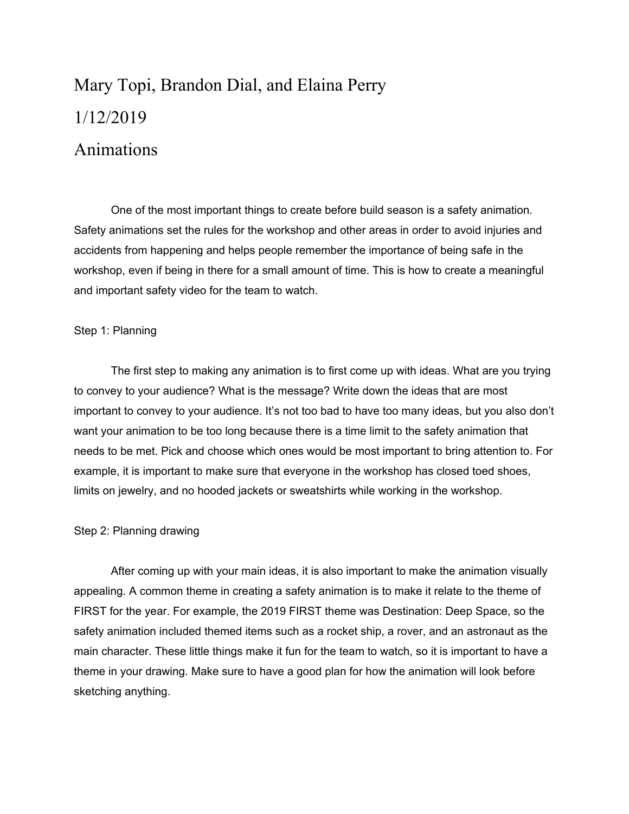# Mary Topi, Brandon Dial, and Elaina Perry 1/12/2019

# Animations

One of the most important things to create before build season is a safety animation. Safety animations set the rules for the workshop and other areas in order to avoid injuries and accidents from happening and helps people remember the importance of being safe in the workshop, even if being in there for a small amount of time. This is how to create a meaningful and important safety video for the team to watch.

## Step 1: Planning

The first step to making any animation is to first come up with ideas. What are you trying to convey to your audience? What is the message? Write down the ideas that are most important to convey to your audience. It's not too bad to have too many ideas, but you also don't want your animation to be too long because there is a time limit to the safety animation that needs to be met. Pick and choose which ones would be most important to bring attention to. For example, it is important to make sure that everyone in the workshop has closed toed shoes, limits on jewelry, and no hooded jackets or sweatshirts while working in the workshop.

# Step 2: Planning drawing

After coming up with your main ideas, it is also important to make the animation visually appealing. A common theme in creating a safety animation is to make it relate to the theme of FIRST for the year. For example, the 2019 FIRST theme was Destination: Deep Space, so the safety animation included themed items such as a rocket ship, a rover, and an astronaut as the main character. These little things make it fun for the team to watch, so it is important to have a theme in your drawing. Make sure to have a good plan for how the animation will look before sketching anything.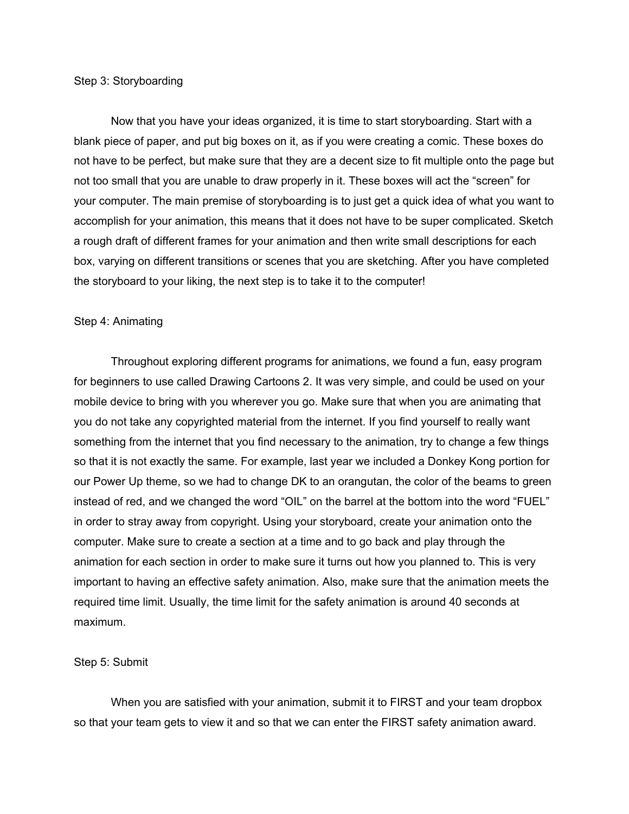#### Step 3: Storyboarding

Now that you have your ideas organized, it is time to start storyboarding. Start with a blank piece of paper, and put big boxes on it, as if you were creating a comic. These boxes do not have to be perfect, but make sure that they are a decent size to fit multiple onto the page but not too small that you are unable to draw properly in it. These boxes will act the "screen" for your computer. The main premise of storyboarding is to just get a quick idea of what you want to accomplish for your animation, this means that it does not have to be super complicated. Sketch a rough draft of different frames for your animation and then write small descriptions for each box, varying on different transitions or scenes that you are sketching. After you have completed the storyboard to your liking, the next step is to take it to the computer!

#### Step 4: Animating

Throughout exploring different programs for animations, we found a fun, easy program for beginners to use called Drawing Cartoons 2. It was very simple, and could be used on your mobile device to bring with you wherever you go. Make sure that when you are animating that you do not take any copyrighted material from the internet. If you find yourself to really want something from the internet that you find necessary to the animation, try to change a few things so that it is not exactly the same. For example, last year we included a Donkey Kong portion for our Power Up theme, so we had to change DK to an orangutan, the color of the beams to green instead of red, and we changed the word "OIL" on the barrel at the bottom into the word "FUEL" in order to stray away from copyright. Using your storyboard, create your animation onto the computer. Make sure to create a section at a time and to go back and play through the animation for each section in order to make sure it turns out how you planned to. This is very important to having an effective safety animation. Also, make sure that the animation meets the required time limit. Usually, the time limit for the safety animation is around 40 seconds at maximum.

### Step 5: Submit

When you are satisfied with your animation, submit it to FIRST and your team dropbox so that your team gets to view it and so that we can enter the FIRST safety animation award.